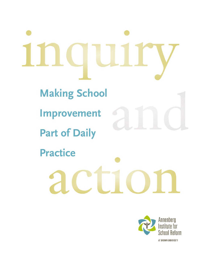# **Making School Improvement Part of Daily Practice**

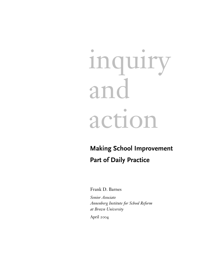# inquiry and action

# **Making School Improvement Part of Daily Practice**

Frank D. Barnes

*Senior Associate Annenberg Institute for School Reform at Brown University*

April 2004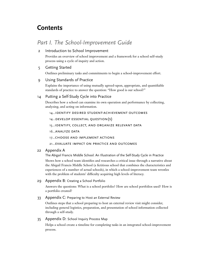# **Contents**

# *Part I. The School-Improvement Guide*

# 2 Introduction to School Improvement

Provides an overview of school improvement and a framework for a school self-study process using a cycle of inquiry and action.

# 5 Getting Started

Outlines preliminary tasks and commitments to begin a school-improvement effort.

# 9 Using Standards of Practice

Explains the importance of using mutually agreed-upon, appropriate, and quantifiable standards of practice to answer the question: "How good is our school?"

# 14 Putting a Self-Study Cycle into Practice

Describes how a school can examine its own operation and performance by collecting, analyzing, and acting on information.

14...identify desired student-achievement outcomes

14...develop essential question(s)

15...identify, collect, and organize relevant data

16...analyze data

17...choose and implement actions

# 21...evaluate impact on practice and outcomes

# 22 Appendix A

The Abigail Francis Middle School: An Illustration of the Self-Study Cycle in Practice

Shows how a school team identifies and researches a critical issue through a narrative about the Abigail Francis Middle School (a fictitious school that combines the characteristics and experiences of a number of actual schools), in which a school-improvement team wrestles with the problem of students' difficulty acquiring high levels of literacy.

29 Appendix B: Creating a School Portfolio

Answers the questions: What is a school portfolio? How are school portfolios used? How is a portfolio created?

33 Appendix C: Preparing to Host an External Review

Outlines steps that a school preparing to host an external review visit might consider, including general logistics, preparation, and presentation of school information collected through a self-study.

# 35 Appendix D: School Inquiry Process Map

Helps a school create a timeline for completing tasks in an integrated school-improvement process.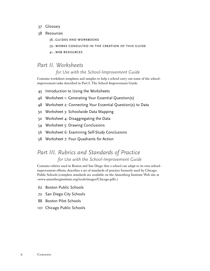- 37 Glossary
- 38 Resources

38...guides and workbooks 39...works consulted in the creation of this guide 41...web resources

# *Part II. Worksheets for Use with the School-Improvement Guide*

Contains worksheet templates and samples to help a school carry out some of the schoolimprovement tasks described in Part I: The School-Improvement Guide.

- 45 Introduction to Using the Worksheets
- 46 Worksheet 1: Generating Your Essential Question(s)
- 48 Worksheet 2: Connecting Your Essential Question(s) to Data
- 50 Worksheet 3: Schoolwide Data Mapping
- 52 Worksheet 4: Disaggregating the Data
- 54 Worksheet 5: Drawing Conclusions
- 56 Worksheet 6: Examining Self-Study Conclusions
- 58 Worksheet 7: Four Quadrants for Action

# *Part III. Rubrics and Standards of Practice for Use with the School-Improvement Guide*

Contains rubrics used in Boston and San Diego that a school can adapt to its own schoolimprovement efforts; describes a set of standards of practice formerly used by Chicago Public Schools (complete standards are available on the Annenberg Institute Web site at <www.annenberginstitute.org/tools/images/Chicago.pdf>.)

- 62 Boston Public Schools
- 72 San Diego City Schools
- 88 Boston Pilot Schools
- 101 Chicago Public Schools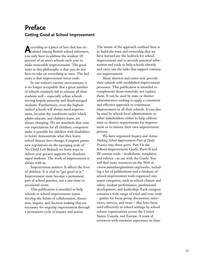# **Preface Getting Good at School Improvement**

**A**ccording to a piece of lore that has cir-culated among British school reformers, you only have to address the weakest 10 percent of an area's schools each year to make noticeable improvements. The good news in this philosophy is that you do not have to take on everything at once. The bad news is that improvement never ends.

In our nation's current environment, it is no longer acceptable that a great number of schools routinely fail to educate all their students well – especially urban schools serving largely minority and disadvantaged students. Furthermore, even the highestranked schools will always need improvement, because the conditions under which adults educate, and children learn, are always changing. We set standards that raise our expectations for all children; computers make it possible for children with disabilities to better demonstrate what they learn; school finance laws change; Congress passes new regulations on the sweeping scale of No Child Left Behind; we learn ways to deliver ever greater supports for disadvantaged students. The work of improvement is always with us.

Improvement matters. It affects the lives of children. It is vital to "get good at it." Improvement must become a permanent part of school practice, not a one-time or occasional event.

This publication is intended to help schools or school-improvement teams develop the habits of collaboration, discussion, inquiry, and decision making that are necessary for ongoing improvement through a permanent cycle of inquiry and action.

The intent of the approach outlined here is to build the trust and ownership that we have learned are the bedrock for school improvement and to provide practical information and tools to help schools identify and carry out the tasks that support continuous improvement.

Many districts and states now provide their schools with established improvement processes. This publication is intended to complement those materials, not replace them. It can be used by state or district administrators seeking to apply a consistent and effective approach to continuous improvement in all their schools. It can also be used by school-level administrators or other stakeholders, either to help address state or district requirements for improvement or to initiate their own improvement process.

We have organized *Inquiry and Action: Making School Improvement Part of Daily Practice* into three parts. Part I is the School-Improvement Guide. Parts II and III contain tools – worksheets, templates, and rubrics – to use with the Guide. You will find more resources on the Web at <www.annenberginstitute.org/tools>, including a list of publications and a database of school-improvement tools organized into major categories, such as school climate and safety, student performance, professional development, and leadership. Each category contains a wide range of tried-and-true tools – guides for focus group discussions, interviews, surveys, and more – that have been used effectively in school settings by school reform organizations across the United States, Canada, and Europe. A team of reviewers with extensive experience in class-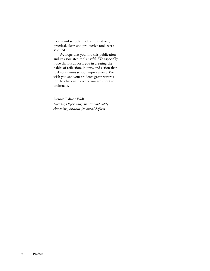rooms and schools made sure that only practical, clear, and productive tools were selected.

We hope that you find this publication and its associated tools useful. We especially hope that it supports you in creating the habits of reflection, inquiry, and action that fuel continuous school improvement. We wish you and your students great rewards for the challenging work you are about to undertake.

Dennie Palmer Wolf *Director, Opportunity and Accountability Annenberg Institute for School Reform*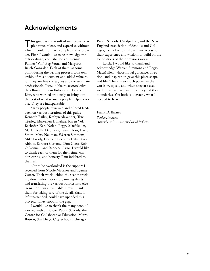# **Acknowledgments**

**T** his guide is the result of numerous peo-ple's time, talent, and expertise, without which I could not have completed this project. First, I would like to acknowledge the extraordinary contributions of Dennie Palmer Wolf, Peg Votta, and Margaret Balch-Gonzalez. Each of them, at some point during the writing process, took ownership of this document and added value to it. They are fine colleagues and consummate professionals. I would like to acknowledge the efforts of Susan Fisher and Haewon Kim, who worked arduously to bring out the best of what so many people helped create. They are indispensable.

Many people reviewed and offered feedback on various iterations of this guide – Kenneth Bailey, Kothyn Alexander, Traci Teasley, Maryellen Donahue, Karen Volz Bachofer, Kate Nolan, Peggy MacMullen, Marla Ucelli, Debi King, Sanjiv Rao, David Smith, Mary Neuman, Warren Simmons, Mike Grady, Cerrone Berkeley Daly, David Abbott, Barbara Cervone, Don Glass, Rob O'Donnell, and Rebecca Ostro. I would like to thank each of them for their time, candor, caring, and honesty. I am indebted to them all.

Not to be overlooked is the support I received from Nicole McGhee and Tyanne Carter. Their work behind the scenes tracking down information, organizing drafts, and translating the various rubrics into electronic form was invaluable. I must thank them for taking care of the details that, if left unattended, could have upended this project. They stood in the gap.

I would like to thank the many people I worked with at Boston Public Schools, the Center for Collaborative Education–Metro Boston, San Diego City Schools, Chicago

Public Schools, Catalpa Inc., and the New England Association of Schools and Colleges, each of whom allowed me access to their experience and wisdom to build on the foundations of their previous works.

Lastly, I would like to thank and acknowledge Warren Simmons and Peggy MacMullen, whose initial guidance, direction, and inspiration gave this piece shape and life. There is so much power in the words we speak, and when they are used well, they can have an impact beyond their boundaries. You both said exactly what I needed to hear.

Frank D. Barnes *Senior Associate Annenberg Institute for School Reform*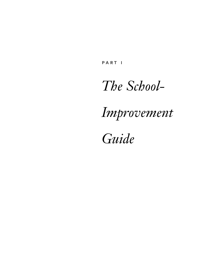PART I

# *The School-*

# *Improvement*

*Guide*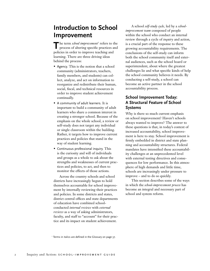# **Introduction to School Improvement**

The term *school improvement*<sup>1</sup> refers to the process of altering specific practices and policies in order to improve teaching and learning. There are three driving ideas behind the process:

- Agency. This is the notion that a school community (administrators, teachers, family members, and students) can collect, analyze, and act on information to reorganize and redistribute their human, social, fiscal, and technical resources in order to improve student achievement continually.
- A community of adult learners. It is important to build a community of adult learners who share a common interest in creating a stronger school. Because of the emphasis on the whole school, a review or self-study does not target any individual or single classroom within the building. Rather, it targets how to improve current practices and policies that stand in the way of student learning.
- Continuous professional inquiry. This is the curiosity and will of individuals and groups as a whole to ask about the strengths and weaknesses of current practices and policies, to act, and then to monitor the effects of those actions.

Across the country schools and school districts have increasingly begun to hold themselves accountable for school improvement by internally reviewing their practices and policies. In some districts and states, district central offices and state departments of education have combined schoolconducted *internal reviews* with *external reviews* as a way of asking administrators, faculty, and staff to "account" for their practice and its impact on student achievement.

A school *self-study cycle,* led by a *schoolimprovement team* composed of people within the school who conduct an internal review through a cycle of *inquiry* and action, is a crucial part of the response to these growing accountability requirements. The conclusions of the self-study can inform both the school community itself and external audiences, such as the school board or superintendent, about where the greatest challenges lie and what specific kinds of help the school community believes it needs. By conducting a self-study, a school can become an active partner in the school accountability process.

# **School Improvement Today: A Structural Feature of School Systems**

Why is there so much current emphasis on school improvement? Haven't schools always wanted to improve? The answer to these questions is that, in today's context of increased accountability, school improvement is here to stay. School improvement is firmly embedded in district and state planning and accountability structures. Federal mandates have intensified these accountability challenges at an unprecedented level with external testing directives and consequences for low performance. In this atmosphere of high demands and little time, schools are increasingly under pressure to improve – and to do so quickly.

This section describes some of the ways in which the *school-improvement process* has become an integral and necessary part of school and system reform.

<sup>&</sup>lt;sup>1</sup> Terms in italics are defined in the Glossary on page 37.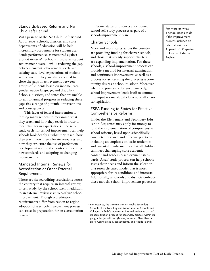# Standards-Based Reform and No Child Left Behind

With passage of the No Child Left Behind Act of 2001, schools, districts, and state departments of education will be held increasingly accountable for student academic performance, as measured against explicit *standards.* Schools must raise student achievement overall, while reducing the gap between current achievement levels and existing state-level expectations of student achievement. They are also expected to close the gaps in achievement between groups of students based on income, race, gender, native language, and disability. Schools, districts, and states that are unable to exhibit annual progress in reducing these gaps risk a range of potential interventions and consequences.

This layer of federal intervention is forcing many schools to reexamine what they teach and how they teach in order to meet changes in expectations. The selfstudy cycle for school improvement can help schools look deeply at what they teach, how they teach, how they allocate resources, and how they structure the use of professional development – all in the context of meeting new standards and adapting to changing requirements.

# Mandated Internal Reviews for Accreditation or Other External Requirements

There are six accrediting associations across the country that require an internal review, or self-study, by the school itself in addition to an external review visit to catalyze school improvement. Though accreditation requirements differ from region to region, adoption of a school-improvement process can assist in preparation for an accreditation review. 2

Some states or districts also require school self-study processes as part of a school-improvement plan.

# Charter Schools

More and more states across the country are providing funding for charter schools, and those that already support charters are expanding implementation. For these schools, a school-improvement process can provide a method for internal examination and continuous improvement, as well as a process for articulating the practices a community desires a school to adopt. Moreover, when the process is designed correctly, school improvement lends itself to community input – a mandated element of all charter legislation.

# ESEA Funding to States for Effective Comprehensive Reforms

Under the Elementary and Secondary Education Act, states may apply for money to fund the implementation of comprehensive school reforms, based upon scientifically conducted research and effective practices, including an emphasis on basic academics and parental involvement so that all children can meet challenging state academiccontent and academic-achievement standards. A self-study process can help schools assess their needs and inform the selection of a research-based model that is most appropriate for its conditions and interests. Additionally, as schools and districts embrace these models, school-improvement processes

For more on what a school needs to do if the improvement process includes an external visit, see Appendix C: Preparing to Host an External Review.

<sup>2</sup> For instance, the Commission on Public Secondary Schools of the New England Association of Schools and Colleges (NEASC) requires an internal review as part of its accreditation process for secondary schools within its geographic jurisdiction (Maine, Vermont, New Hampshire, Connecticut, Massachusetts, and Rhode Island).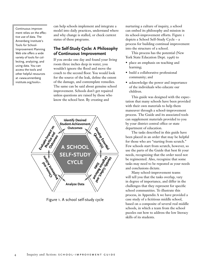Continuous improvement relies on the effective use of data. The Annenberg Institute's Tools for School-Improvement Planning Web site offers a wide variety of tools for collecting, analyzing, and using data. You can access the tools and other helpful resources at <www.annenberg institute.org/tools>.

can help schools implement and integrate a model into daily practices, understand where and why change is stalled, or check current status of these programs.

# **The Self-Study Cycle: A Philosophy of Continuous Improvement**

If you awoke one day and found your living room three inches deep in water, you wouldn't ignore the flood and move the couch to the second floor. You would look for the source of the leak, define the extent of the damage, and contemplate remedies. The same can be said about genuine school improvement. Schools don't get repaired unless questions are raised by those who know the school best. By creating and



Figure 1. A school self-study cycle

nurturing a culture of inquiry, a school can embed its philosophy and mission in its school-improvement efforts. Figure 1 depicts a School Self-Study Cycle – a process for building continual improvement into the structure of a school.

This process has the potential (New York State Education Dept. 1996) to

- place an emphasis on teaching and learning;
- build a collaborative professional community; and
- acknowledge the power and importance of the individuals who educate our children.

This guide was designed with the expectation that many schools have been provided with their own materials to help them maneuver through a school-improvement process. The Guide and its associated tools can supplement materials provided to you by your district central office or state department of education.

The tasks described in this guide have been placed in an order that may be helpful for those who are "starting from scratch." Few schools start from scratch, however, so use the parts of the Guide that best fit your needs, recognizing that the order need not be regimented. Also, recognize that some tasks may need to be repeated as your needs and conclusions dictate.

Many school-improvement teams will tell you that the tasks overlap, vary in degree of importance, and differ in the challenges that they represent for specific school communities. To illustrate this process, in Appendix A we have provided a case study of a fictitious middle school, based on a composite of several real middle schools, in which a team from the school puzzles out how to address the low literacy skills of its students.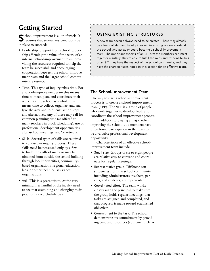# **Getting Started**

**S**chool improvement is a lot of work. It requires that several key conditions be in place to succeed:

- Leadership. Support from school leadership affirming the value of the work of an internal school-improvement team, providing the resources required to help the team be successful, and encouraging cooperation between the school-improvement team and the larger school community are essential.
- Time. This type of inquiry takes time. For a school-improvement team this means time to meet, plan, and coordinate their work. For the school as a whole this means time to collect, organize, and analyze the *data* and to discuss action steps and alternatives. Any of these may call for common planning time (as offered to many teachers in block scheduling), use of professional development opportunities, after-school meetings, and/or retreats.
- Skills. Several types of skills are required to conduct an inquiry process. These skills need be possessed only by a few to build the skills of many or may be obtained from outside the school building through local universities, communitybased organizations, regional education labs, or other technical assistance organizations.
- Will. This is a prerequisite. At the very minimum, a handful of the faculty need to see that examining and changing their practice is a worthwhile task.

# using existing structures

A new team doesn't always need to be created. There may already be a team of staff and faculty involved in existing reform efforts at the school who act as or could become a school-improvement team. The important aspects of an SIT are: the members can meet together regularly; they're able to fulfill the roles and responsibilities of an SIT; they have the respect of the school community; and they have the characteristics noted in this section for an effective team.

# **The School-Improvement Team**

The way to start a school-improvement process is to create a school-improvement team ( $SIT$ ). The  $SIT$  is a group of people who work together to develop, lead, and coordinate the school-improvement process.

In addition to playing a major role in improving the school, SIT members have often found participation in the team to be a valuable professional development opportunity.

Characteristics of an effective schoolimprovement team include:

- Small size. Groups of six to eight people are relative easy to convene and coordinate for regular meetings.
- Representative group. Different constituencies from the school community, including administrators, teachers, parents, and students, are represented.
- Coordinated effort. The team works closely with the principal to make sure the group holds regular meetings, that tasks are assigned and completed, and that progress is made toward established objectives.
- Commitment to the task. The school demonstrates its commitment by providing time and resources (equipment, cleri-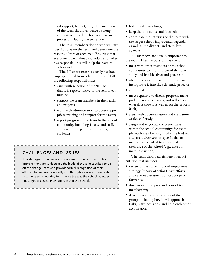cal support, budget, etc.). The members of the team should evidence a strong commitment to the school-improvement process, including the self-study.

The team members decide who will take specific roles on the team and determine the responsibilities of each role. Ensuring that everyone is clear about individual and collective responsibilities will help the team to function well.

The SIT coordinator is usually a school employee freed from other duties to fulfill the following responsibilities:

- assist with selection of the SIT so that it is representative of the school community;
- support the team members in their tasks and projects;
- work with administrators to obtain appropriate training and support for the team;
- report progress of the team to the school community, including faculty and staff, administration, parents, caregivers, students;

# challenges and issues

Two strategies to increase commitment to the team and school improvement are to decrease the loads of those best suited to be on the change team and provide formal recognition of their efforts. Underscore repeatedly and through a variety of methods that the team is working to improve the way the school operates, not target or assess individuals within the school.

- hold regular meetings;
- keep the SIT active and focused;
- coordinate the activities of the team with the larger school-improvement agenda as well as the district- and state-level agendas.

SIT members are equally important to the team. Their responsibilities are to:

- meet with other members of the school community to inform them of the selfstudy and its objectives and processes;
- obtain the input of faculty and staff and incorporate it into the self-study process;
- collect data;
- meet regularly to discuss progress, make preliminary conclusions, and reflect on what data shows, as well as on the process itself;
- assist with documentation and evaluation of the self-study;
- assign and negotiate collection tasks within the school community; for example, each member might take the lead on a separate *focus area* or specific departments may be asked to collect data in their area of the school (e.g., data on math instruction).

The team should participate in an orientation that includes:

- review of the current school-improvement strategy (theory of action), past efforts, and current assessment of student performance;
- discussion of the pros and cons of team membership;
- development of ground rules of the group, including how it will approach tasks, make decisions, and hold each other accountable.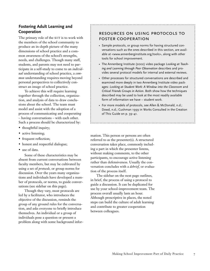# **Fostering Adult Learning and Cooperation**

The primary role of the SIT is to work with the members of the school community to produce an in-depth picture of the many dimensions of school practice and a common awareness of the school's strengths, needs, and challenges. Though many staff, students, and parents may not need to participate in a self-study to come to an *individual* understanding of school practice, a *common* understanding requires moving beyond personal perspectives to collectively construct an image of school practice.

To achieve this will require learning together through the collection, organization, and analysis of data to draw conclusions about the school. The team must model and assist with the adoption of a process of communicating and cooperating – having conversations – with each other. Such a process should be characterized by:

- thoughtful inquiry;
- active listening;
- frequent reflection;
- honest and respectful dialogue;
- use of data.

Some of these characteristics may be absent from current conversations between faculty members, but may be cultivated by using a set of *protocols,* or group norms for discussion. Over the years many organizations and individuals have developed a number of protocols, or norms, to guide conversations (see sidebar on this page).

Though they vary, most protocols are led by a facilitator, who introduces the objective of the discussion, reminds the group of any ground rules for the conversation, and asks everyone to briefly introduce themselves. An individual or a group of individuals pose a question or present a problem along with some background infor-

# resources on using protocols to foster cooperation

- Sample protocols, or group norms for having structured conversations such as the ones described in this section, are available at <www.annenberginstitute.org/tools>, along with other tools for school improvement.
- The Annenberg Institute (2002) video package *Looking at Teaching and Learning through Peer Observation* describes and provides several protocol models for internal and external reviews.
- Other processes for structured conversations are described and examined more deeply in two Annenberg Institute video packages: *Looking at Student Work: A Window into the Classroom* and *Critical Friends Groups in Action*. Both show how the techniques described may be used to look at the most readily available form of information we have – student work.
- For more models of protocols, see Allen & McDonald, n.d.; Dowd, n.d.; Cushman 1999 in Works Consulted in the Creation of This Guide on p. 39–41.

mation. This person or persons are often referred to as the presenter(s). A structured conversation takes place, commonly including a part in which the presenter listens, without making comments, to the other participants, to encourage active listening rather than defensiveness. Usually the conversation concludes with a *debrief,* or evaluation of the process itself.

The sidebar on the next page outlines, in brief, the process of using a protocol to guide a discussion. It can be duplicated for use by your school-improvement team. The process overall usually lasts an hour. Although prescriptive in places, the noted steps can build the culture of adult learning and contribute to greater cooperation between colleagues.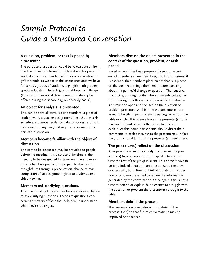# *Sample Protocol to Guide a Structured Conversation*

# **A question, problem, or task is posed by a presenter.**

The purpose of a question could be to evaluate an item, practice, or set of information (How does this piece of work align to state standards?); to describe a situation (What trends do we see in the attendance data we have for various groups of students, e.g., girls, 11th-graders, special education students); or to address a challenge (How can professional development for literacy be offered during the school day, on a weekly basis?)

# **An object for analysis is presented.**

This can be several items, a state standard, a piece of student work, a teacher assignment, the school weekly schedule, student-attendance data, or survey results. It can consist of anything that requires examination as part of a discussion.

# **Members become familiar with the object of discussion.**

The item to be discussed may be provided to people before the meeting. It is also useful for time in the meeting to be designated for team members to examine an object (or practice) to prepare to discuss it thoughtfully, through a presentation, chance to read, completion of an assignment given to students, or a video viewing.

# **Members ask clarifying questions.**

After the initial look, team members are given a chance to ask clarifying questions. These are questions concerning "matters of fact" that help people understand what they're looking at.

# **Members discuss the object presented in the context of the question, problem, or task posed.**

Based on what has been presented, seen, or experienced, members share their thoughts. In discussions, it is essential that members place an emphasis is placed on the positives (things they liked) before speaking about things they'd change or question. The tendency to criticize, although quite natural, prevents colleagues from sharing their thoughts or their work. The discussion must be open and focused on the question or problem presented. At this time the presenter(s) are asked to be silent, perhaps even pushing away from the table or circle. This silence forces the presenter(s) to listen carefully and prevents the desire to defend or explain. At this point, participants should direct their comments to each other, *not* to the presenter(s). In fact, the group should talk as if the presenter(s) aren't there.

# **The presenter(s) reflect on the discussion.**

After peers have an opportunity to converse, the presenter(s) have an opportunity to speak. During this time the rest of the group is silent. This doesn't have to be (and indeed shouldn't be) a response to the previous remarks, but a time to think aloud about the question or problem presented based on the information generated by the conversation. Once again, this is not a time to defend or explain, but a chance to struggle with the question or problem the presenter(s) brought to the table.

# **Members debrief the process.**

The conversation concludes with a debrief of the process itself, so that future conversations may be improved or enhanced.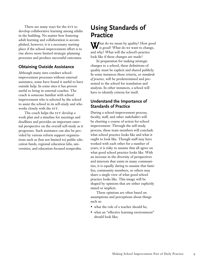There are many ways for the SIT to develop collaborative learning among adults in the building. No matter how fostering adult learning and collaboration is accomplished, however, it is a necessary starting place if the school-improvement effort is to rise above more limited strategic planning processes and produce successful outcomes.

# **Obtaining Outside Assistance**

Although many sites conduct schoolimprovement processes without external assistance, some have found it useful to have outside help. In some sites it has proven useful to bring in external coaches. The coach is someone familiar with school improvement who is selected by the school to assist the school in its self-study and who works closely with the SIT.

The coach helps the SIT develop a work plan and a timeline for meetings and deadlines and provides an important external perspective on the overall self-study as it progresses. Such assistance can also be provided by various reform support organizations such as (but not limited to) public education funds, regional education labs, universities, and education-focused nonprofits.

# **Using Standards of Practice**

What do we mean by quality? How good<br>is good? What do we want to change, and why? What will the school's practice look like if these changes are made?

In preparation for making strategic changes to a school, these definitions of quality must be explicit and shared publicly. In some instances these criteria, or *standards of practice,* will be predetermined and presented to the school for translation and analysis. In other instances, a school will have to identify criteria for itself.

# **Understand the Importance of Standards of Practice**

During a school-improvement process, faculty, staff, and other *stakeholders* will be charting a course of action for school improvement. Through the self-study process, these team members will conclude what school practice looks like and what it ought to look like. Though staff may have worked with each other for a number of years, it is risky to assume that all agree on what good school practice looks like. With an increase in the diversity of perspectives and interests that exists in many communities, it is equally daring to assume that families, community members, or others may share a single view of what good school practice looks like. This image will be shaped by opinions that are either explicitly stated or implicit.

These opinions are often based on assumptions and perceptions about things such as:

- what the role of a teacher should be;
- what an "effective learning environment" should look like;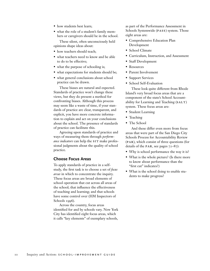- how students best learn;
- what the role of a student's family members or caregivers should be in the school.

These silent, often unconsciously held opinions shape ideas about:

- how teachers should teach;
- what teachers need to know and be able to do to be effective;
- what the purpose of schooling is;
- what expectations for students should be;
- what general conclusions about school practice can be drawn.

These biases are natural and expected. Standards of practice won't change these views, but they do present a method for confronting biases. Although this process may seem like a waste of time, if your standards of practice are clear, transparent, and explicit, you have more concrete information to explain and act on your conclusions about the school. The presence of standards of practice can facilitate this.

Agreeing upon standards of practice and ways of measuring them through *performance indicators* can help the SIT make professional judgments about the quality of school practice.

### **Choose Focus Areas**

To apply standards of practice in a selfstudy, the first task is to choose a set of *focus areas* in which to concentrate the inquiry. These focus areas are broad elements of school operation that cut across all areas of the school; that influence the effectiveness of teaching and learning; and that schools have some control over (HM Inspectors of Schools 1996).

Across the country, focus areas identified for and by schools vary. New York City has identified eight focus areas, which it calls "key elements" of exemplary schools,

as part of the Performance Assessment in Schools Systemwide (PASS) system. Those eight areas are:

- Comprehensive Education Plan Development
- School Climate
- Curriculum, Instruction, and Assessment
- Staff Development
- Resources
- Parent Involvement
- Support Services
- School Self-Evaluation

These look quite different from Rhode Island's very broad focus areas that are a component of the state's School Accountability for Learning and Teaching (SALT) system. These focus areas are:

- Student Learning
- Teaching
- The School

And these differ even more from focus areas that were part of the San Diego City Schools Process for Accountability Review  $(PAR)$ , which consist of three questions (for details of the PAR, see pages  $72-87$ ):

- Why is school performance the way it is?
- What is the whole picture? (Is there more to know about performance than the "first cut" indicates?)
- What is the school doing to enable students to make progress?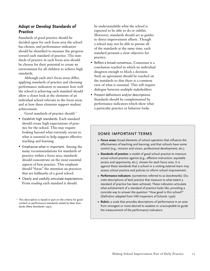# **Adopt or Develop Standards of Practice**

Standards of good practice should be decided upon for each focus area the school has chosen, and performance indicators should be identified to measure the progress toward each standard of practice. The standards of practice in each focus area should be chosen for their potential to create an environment for all children to achieve high standards.

Although each site's focus areas differ, applying standards of practice and choosing performance indicators to measure how well the school is achieving each standard should allow a closer look at the elements of an individual school relevant to the focus areas and at how these elements support student achievement.

Good standards of practice should:<sup>3</sup>

- Establish high standards. Each standard should create high expectations of practice for the school. This may require looking beyond what currently occurs to what is essential to help support effective teaching and learning.
- Emphasize what is important. Among the many recommendations for standards of practice within a focus area, standards should concentrate on the most essential aspects of best practice. This emphasis should "focus" the attention on practices that are hallmarks of a good school.
- Clearly and usefully articulate expectations. From reading each standard it should

be understandable what the school is expected to be able to do or exhibit. Moreover, standards should act as guides to direct improvement efforts. Though a school may not be able to pursue all of the standards at the same time, each standard presents a clear objective for practice.

- Reflect a broad consensus. Consensus is a conclusion reached in which no individual disagrees enough to block a decision. Such an agreement should be reached on the standards so that there is a common view of what is essential. This will require dialogue between multiple stakeholders.
- Present definitions and/or descriptions. Standards should be complemented by performance indicators which show what a particular practice or behavior looks

# some important terms

- **• Focus areas:** broad elements of school operation that influence the effectiveness of teaching and learning; and that schools have some control (e.g., mission and vision, professional development, etc.).
- **• Standards of practice:** a model of good school practice to measure actual school practice against (e.g., effective instruction, equitable access and opportunity, etc.), chosen for each focus area. It is against these standards that a school or a visiting external team may assess school practice and policies to inform school improvement.
- **• Performance indicators:** (sometimes referred to as *benchmarks*): Discrete descriptions of best practice that measure to what extent a standard of practice has been achieved. These indicators articulate what achievement of a standard of practice looks like, providing a concrete way to answer the question "How good is this school?" (Definition adapted from HM Inspectors of Schools 1996)
- **• Rubric:** a scale that provides descriptions of performance in an area from strongest or most desired to weakest or unacceptable to guide the measurement of the performance indicators.

<sup>&</sup>lt;sup>3</sup> This description is based in part on the criteria for good content or performance standards stated by New Standards (New Standards 1997).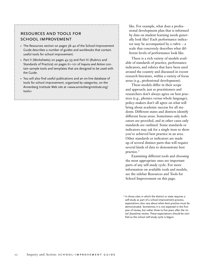# resources and tools for SCHOOL IMPROVEMENT

- The Resources section on pages 38–42 of the School-Improvement Guide describes a number of guides and workbooks that contain useful tools for school improvement.
- Part II (Worksheets) on pages 43–59 and Part III (Rubrics and Standards of Practice) on pages 61–101 of *Inquiry and Action* contain sample tools and templates that are designed to be used with the Guide.
- You will also find useful publications and an on-line database of tools for school improvement, organized by categories, on the Annenberg Institute Web site at <www.annenberginstitute.org/ tools>

like. For example, what does a professional development plan that is informed by data on student learning needs generally look like? Each performance indicator may be accompanied by a *rubric* – a scale that concretely describes what different levels of performance look like.

There is a rich variety of models available of standards of practice, performance indicators, and rubrics that have been used around the country and discussed in recent research literature, within a variety of focus areas (e.g., professional development).

These models differ in their scope and approach; just as practitioners and researchers don't always agree on best practices (e.g., phonics versus whole language), policy-makers don't all agree on what will bring about academic success for all students. Different states and districts identify different focus areas. Sometimes only indicators are provided, and in other cases only standards are outlined. Some standards or indicators may ask for a single item to show you've achieved best practice in an area. Other standards or indicators are made up of several distinct parts that will require several kinds of data to demonstrate best practice. 4

Examining different tools and choosing the most appropriate ones are important parts of any self-study cycle. For more information on available tools and models, see the sidebar Resources and Tools for School Improvement on this page.

<sup>4</sup> In those sites in which the district or state requires a self-study as part of a school-improvement process, expectations also vary about when best practice must be demonstrated. Sometimes it is not expected in the first year of review, but rather three to five years after the initial (baseline) review. These expectations should be clarified as the school self-study cycle is begun.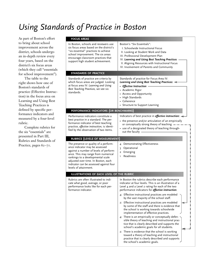# *Using Standards of Practice in Boston*

As part of Boston's effort to bring about school improvement across the district, schools undergo an in-depth review every four years, based on the district's six focus areas (which they call "essentials for school improvement").

The table to the right shows how one of Boston's standards of practice (Effective Instruction) in the focus area on Learning and Using Best Teaching Practices is defined by specific performance indicators and measured by a four-level rubric.

Complete rubrics for the six "essentials" are presented in Part III, Rubrics and Standards of Practice, pages 62-71.

### **FOCUS AREAS**

| <b>FOCUS AREAS</b>                                                                                                                                                                                                                                                                                      |                                                                                                                                                                                                                                                                                                                                                                                                                                                                                                                                                                                                                                                                                                                                                                                                                                                                                                                          |
|---------------------------------------------------------------------------------------------------------------------------------------------------------------------------------------------------------------------------------------------------------------------------------------------------------|--------------------------------------------------------------------------------------------------------------------------------------------------------------------------------------------------------------------------------------------------------------------------------------------------------------------------------------------------------------------------------------------------------------------------------------------------------------------------------------------------------------------------------------------------------------------------------------------------------------------------------------------------------------------------------------------------------------------------------------------------------------------------------------------------------------------------------------------------------------------------------------------------------------------------|
| In Boston, schools and reviewers use<br>six focus areas based on the district's<br>"six essential" practices to achieve<br>school improvement. The six areas<br>encourage classroom practices that<br>support high student achievement.                                                                 | Boston's "Six Essentials":<br>I. Schoolwide Instructional Focus<br>II. Looking at Student Work and Data<br>III. Professional Development Plan<br>IV. Learning and Using Best Teaching Practices<br>V. Aligning Resources with Instructional Focus<br>VI. Involvement of Parents and Community                                                                                                                                                                                                                                                                                                                                                                                                                                                                                                                                                                                                                            |
| <b>STANDARDS OF PRACTICE</b>                                                                                                                                                                                                                                                                            |                                                                                                                                                                                                                                                                                                                                                                                                                                                                                                                                                                                                                                                                                                                                                                                                                                                                                                                          |
| Standards of practice are criteria by<br>which focus areas are judged. Looking<br>at focus area IV: Learning and Using<br>Best Teaching Practices, we see six<br>standards.                                                                                                                             | Standards of practice for Focus Area IV:<br>Learning and Using Best Teaching Practices:<br>• Effective Instruction<br>• Academic Rigor<br>• Access and Opportunity<br>• High Standards<br>• Coherence<br>• Structure to Support Learning                                                                                                                                                                                                                                                                                                                                                                                                                                                                                                                                                                                                                                                                                 |
| PERFORMANCE INDICATORS (OR BENCHMARKS)                                                                                                                                                                                                                                                                  |                                                                                                                                                                                                                                                                                                                                                                                                                                                                                                                                                                                                                                                                                                                                                                                                                                                                                                                          |
| Performance indicators constitute a<br>best practice in a standard. The per-<br>formance indicator of best teaching<br>practice, effective instruction, is identi-<br>fied by the observation of two items.                                                                                             | Indicators of best practice in effective instruction:<br>• the presence and/or articulation of an empirically<br>or conceptually strong theory of teaching $-$ .<br>• use of a designated theory of teaching through-<br>out the faculty -                                                                                                                                                                                                                                                                                                                                                                                                                                                                                                                                                                                                                                                                               |
| <b>RUBRICS (LEVELS OF MEASUREMENT)</b>                                                                                                                                                                                                                                                                  |                                                                                                                                                                                                                                                                                                                                                                                                                                                                                                                                                                                                                                                                                                                                                                                                                                                                                                                          |
| The presence or quality of a perform-<br>ance indicator may be assessed<br>against a number of levels of perform-<br>ance. This may range from numerical<br>rankings to a developmental scale<br>adjusted over time. In Boston, each<br>indicator can be assessed against four<br>levels of attainment. | 4 Demonstrating Effectiveness<br>3 Operational<br>2 Emerging<br>Readiness<br>I.                                                                                                                                                                                                                                                                                                                                                                                                                                                                                                                                                                                                                                                                                                                                                                                                                                          |
| ILLUSTRATIONS OF EACH LEVEL OF THE RUBRIC                                                                                                                                                                                                                                                               |                                                                                                                                                                                                                                                                                                                                                                                                                                                                                                                                                                                                                                                                                                                                                                                                                                                                                                                          |
| Rubrics are often illustrated to indi-<br>cate what good, average, or poor<br>performance looks like for each per-<br>formance indicator.                                                                                                                                                               | In Boston the rubrics describe each performance<br>indicator at four levels. This is an illustration of a<br>Level 4 and a Level 2 rating for each of the two<br>performance indicators for <i>effective instruction</i> .<br>4: Effective instructional practices are modeled<br>by the vast majority of the school staff.<br>2: Effective instructional practices are modeled<br>by some of the staff and there is evidence that<br>the school is working towards schoolwide<br>implementation of effective practices.<br>4: There is an empirically or conceptually defen-<br>sible theory of teaching and instructional prac-<br>tice that is clearly described and supports the<br>school's academic goals for all students.<br>2: There is evidence that the school is working<br>toward a theory of teaching and instructional<br>practice that is clearly described and supports<br>the school's academic goals. |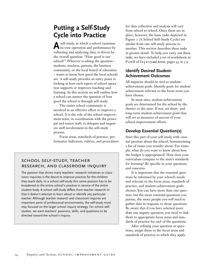# **Putting a Self-Study Cycle into Practice**

**A**self-study, in which a school examines its own operation and performance by collecting and analyzing data, is driven by the overall question: "How good is our school?" Whoever is asking the question – students, teachers, parents, the business community, or the local board of education – wants to know how good the local schools are. A self-study provides an entry point to looking at how each aspect of school operation supports or improves teaching and learning. In this section we will outline how a school can answer the question of how good the school is through self-study.

The entire school community is involved in an effective effort to improve a school. It is the role of the school-improvement team, in coordination with the principal and senior staff, to delegate and negotiate staff involvement in the self-study process.

Focus areas, standards of practice, performance indicators, rubrics, and procedures

# school self-study, teacher research, and classroom inquiry

The passion that drives many teachers' research initiatives or classroom inquiries is the desire to improve practice for the children they teach daily. In a school self-study this same passion has to be broadened to the entire school's practice in service of the entire student body. A school self-study differs from teacher research in that it doesn't attempt to learn about or identify any particular teacher. Although teacher research and classroom inquires are important parts of professional environments, the self-study must stay focused on the larger school inquiry strategy. For school selfstudies, we want teachers' passions, skills, and questions to be directed toward the school's inquiry.

for data collection and analysis will vary from school to school. Once these are in place, however, the basic tasks depicted in Figure 1 (A School Self-Study Cycle) are similar from one self-study process to another. This section describes these tasks in greater detail. To help you carry out these tasks, we have included a set of worksheets in P a rt II of *Inquiry and Action*, pages 43 to 59.

# **Identify Desired Student-Achievement Outcomes**

All inquiries should be tied to studentachievement goals. Identify goals for student achievement relevant to the focus areas you have chosen.

In most sites, student-achievement goals are determined for the school by the district or the state. If not, set short- and long-term student-achievement goals that will act as measures of success of your school-improvement efforts.

# **Develop Essential Question(s)**

Start this part of your self-study with *essential questions* about the school, brainstorming a list of issues you wonder about. For example, what do you want to know about how the budget is appropriated? How does your curriculum compare to the state's standards for learning? Be specific in your questions and concerns.

It is important that the essential questions be informed by your school's needs and relevant to the focus areas, standards of practice, and student-achievement goals chosen. You can have more than one question, but the more essential questions you pursue, the more people you will need to gather data in response to those questions. Be aware that if you have selected more than one inquiry question, you need to link them to appropriate focus areas and standards of practice for *each* of the questions.

After refining your question or questions, assign them to the focus areas and standards of practice to which they apply.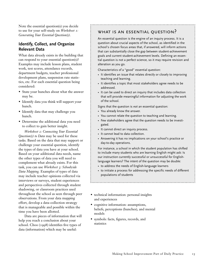Note the essential question(s) you decide to use for your self-study on *Worksheet 1: Generating Your Essential Question(s)*.

# **Identify, Collect, and Organize Relevant Data**

What data already exists in the building that can respond to your essential question(s)? Examples may include lesson plans, student work, test scores, attendance records, department budgets, teacher professional development plans, suspension rate statistics, etc. For each essential question being considered:

- State your hunches about what the answer may be.
- Identify data you think will support your hunch.
- Identify data that may challenge you hunch.
- Determine the additional data you need to collect to gain better insight.

*Worksheet 2: Connecting Your Essential Question(s) to Data* may be used for these tasks. Based on the data that may support or challenge your essential question, identify the types of data you have at your school. Based on your additional data needs, name the other types of data you will need to complement what already exists. For this task, you can use *Worksheet 3: Schoolwide Data Mapping.* Examples of types of data may include teacher opinions collected via interviews or surveys, student experiences and perspectives collected through student shadowing, or classroom practices used throughout the school as seen through peer observations. From your data mapping effort, develop a data-collection strategy that is manageable and possible within the time you have been allotted.

Data are pieces of information that will help you reach a conclusion about your school. Choo (1998) identifies five types of data (information) which may be useful:

# what is an essential question?

An essential question is the engine of an inquiry process. It is a question about crucial aspects of the school, as identified in the school's chosen focus areas that, if answered, will inform actions that can substantially close the gap between student-achievement goals and current student-achievement levels. Defining an essential question is not a perfect science, so it may require revision and alteration as you go.

Characteristics of a "good" essential question:

- It identifies an issue that relates directly or closely to improving teaching and learning.
- It identifies a topic that most stakeholders agree needs to be addressed.
- It can be used to direct an inquiry that includes data collection that will provide meaningful information for adjusting the work of the school.

Signs that the question is *not* an essential question:

- You already know the answer.
- You cannot relate the question to teaching and learning.
- Few stakeholders agree that the question needs to be investigated.
- It cannot direct an inquiry process.
- It cannot lead to data collection.
- Answering it has no implications on your school's practice or day-to-day operations.

For instance, a school in which the student population has shifted to include many students who are learning English might ask: Is our instruction currently successful or unsuccessful for Englishlanguage learners? The intent of the question may be double:

- to address the needs of English-language learners
- to initiate a process for addressing the specific needs of different populations of students
- technical information: personal insights and experiences
- cognitive information: assumptions, beliefs, perceptions (hunches), and mental models
- symbols: facts, figures, records, and statistics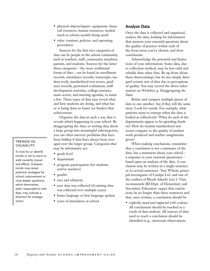- physical objects/inputs: equipment, financial resources, human resources, models (such as reform models being used)
- rules: routines, policies, and operating procedures

Sources for the first two categories of data can be people in the school community such as teachers, staff, community members, parents, and students. Sources for the latter three categories – the more traditional forms of data – can be found in enrollment records, attendance records, transcripts, student work, standardized-test scores, guidance records, personnel evaluations, staff development activities, college entrance exam scores, and meeting agendas, to name a few. These types of data may reveal what and how students are doing, and what has or is being done to foster (or hinder) that achievement.

Organize the data in such a way that it reveals what's happening in your school. By *disaggregating* the data, or sorting data about a large group into meaningful subcategories, you can often uncover problems that have been hidden if data have always been averaged over the larger group. Categories that may be informative are:

- grade level
- department
- program participation (for students and/or teachers)
- gender
- race and ethnicity
- year data was collected (if existing data was collected over multiple years)
- home language or first language spoken
- years of attendance at school

# **Analyze Data**

Once the data is collected and organized, analyze the data, looking for information that answers your essential questions about the quality of practice within each of the focus areas you've chosen, and draw conclusions.

Acknowledge the potential and limitations of your information. Some data, due to collection method, may be less valid and reliable than other data. Be up-front about these shortcomings, but do not simply disregard certain sets of data due to perceptions of quality. You may record the above information on *Worksheet 4: Disaggregating the Data.*

Relate and compare multiple pieces of data to one another. See if they tell the same story. Look for trends. For example, what patterns seem to emerge when the data is looked at collectively? What do each of the departments appear to be spending funds on? How do student standardized-test scores compare to the quality of student work produced and teacher assignments given?

When making conclusions, remember that a conclusion is not a summary of the data, but a statement about your school – a response to your essential question(s) – based upon an analysis of the data. A conclusion may be written in a single sentence or in several sentences. Tom Wilson, principal investigator of Catalpa Ltd. and one of the crafters of Rhode Island's SALT Visit, recommends (RI Dept. of Elementary and Secondary Education 1999c) that conclusions be no longer than three sentences and that, once written, a conclusion should be

• *explicitly stated and supported with evidence.* All conclusions should be reached as a result of data analysis. All sources of data used to reach a conclusion should be identified (e.g., classroom observations,

# trends vs. **CAUSALITY**

To look for or identify trends is not to claim or seek causality (cause and effect). However, trends may reveal potential strategies for school improvement or raise deeper questions which themselves, when responded to with data, may indicate a direction for strategic action.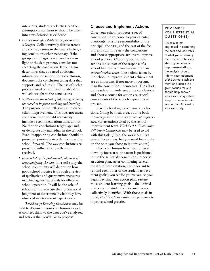interviews, student work, etc.). Neither assumptions nor hearsay should be taken into consideration as evidence.

- *reached through a deliberative process with colleagues.* Collaboratively discuss trends and contradictions in the data, challenging conclusions when necessary. If the group cannot agree on a conclusion in light of the data present, consider not accepting the conclusion. If your team determines that you need additional information or support for a conclusion, document the conclusion citing data that supports and refutes it. The use of such a process based on valid and reliable data will add weight to the conclusions.
- *written with the intent of informing action by the school to improve teaching and learning.* The purpose of the self-study is to direct school improvement. This does not mean your conclusion should necessarily include a recommendation; most do not. Neither do conclusions target, applaud, or denigrate any individual in the school. Even disappointing conclusions should be presented positively in order to move the school forward. The way conclusions are presented influences how they are received.
- *punctuated by the professional judgment of those analyzing the data.* In a self-study the school community will determine how good school practice is through a review of qualitative and quantitative measures matched against standards for effective school operation. It will be the role of school staff to exercise their professional judgment to determine if what they have observed meets current expectations.

*Worksheet 5: Drawing Conclusions* may be used to document your conclusions as well as connect them to the data you've analyzed and actions that you'd like to propose.

# **Choose and Implement Actions**

Once your school produces a set of conclusions in response to your essential question(s), it is the responsibility of the principal, the SIT, and the rest of the faculty and staff to review the conclusions and choose appropriate actions to improve school practice. Choosing appropriate actions is also part of the response if a school has received conclusions from an *external review team.* The actions taken by the school to improve student achievement are as important, if not more important, than the conclusions themselves. The efforts of the school to understand the conclusions and chart a course for action are crucial components of the school-improvement process.

Start by breaking down your conclusions. Going by focus area, outline both the *strengths* and the *areas in need of improvement* (or attention) cited by the schoolimprovement team. *Worksheet 6: Examining Self-Study Conclusions* may be used to aid with this task. (Note: the worksheet lists several focus areas, but you need focus only on the ones you chose to inquire about.)

Once conclusions have been broken down by focus area, the team is positioned to use the self-study conclusions to devise an action plan. After completing several months of investigation, it's important to remind each other of the student achievement goal(s) you set for yourselves. As you begin devising your action plan, restate those student learning goals – the desired outcomes for student achievement – you collectively identified. With those goals in mind, *identify actions within each focus area* to improve school practice.

# **REMEMBER** your essential question(s)

It's easy to get engrossed in examining the data and lose track of what you're looking for. In order to be valuable to your schoolimprovement efforts, the analysis should inform your judgment of the school's achievement or practice in a given focus area and should help answer your essential question. Keep this focus in mind as you push forward in your self-study.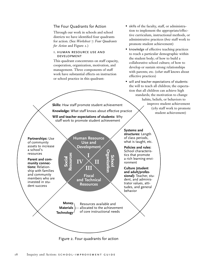# The Four Quadrants for Action

Through our work in schools and school districts we have identified four quadrants for action. (See *Worksheet 7: Four Quadrants for Action* and Figure 2.)

### i. human resource use and development

This quadrant concentrates on staff capacity, cooperation, organization, motivation, and management. Three components of staff work have substantial effects on instruction or school practice in this quadrant:

- skills of the faculty, staff, or administration to implement the appropriate/effective curriculum, instructional methods, or administrative practices (*how* staff work to promote student achievement)
- knowledge of effective teaching practices to reach a particular demographic within the student body; of how to build a collaborative school culture; of how to develop or sustain strong relationships with parents; etc. (*what* staff knows about effective practices)
- will and teacher expectations of students: the will to teach all children; the expectation that all children can achieve high standards; the motivation to change habits, beliefs, or behaviors to improve student achievement (*why* staff work to promote student achievement)

**Skills:** *How* staff promote student achievement **Knowledge:** *What* staff knows about effective practice **Will and teacher expectations of students:** *Why*

staff work to promote student achievement

**Human Resource Use and** 

**Partnerships:** Use of community assets to increase a school's resources

**Parent and community connections:** Relationship with families and community members who are invested in student success

**Development I IV II III**

> **Fiscal and Technical Resources**

Figure 2. Four quadrants for action

**Money Materials Technology** Resources available and allocated to the achievement of core instructional needs

**Systems and structures:** Length of class periods, what is taught, etc.

**Policies and rules:** School characteristics that promote a rich learning environment

**Culture (student and adult/professional):** Teacher, student, and administrator values, attitudes, and general behavior

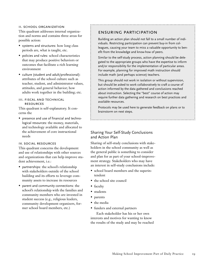### ii. school organization

This quadrant addresses internal organization and norms and contains three areas for possible action:

- systems and structures: how long class periods are, what is taught, etc.
- policies and rules: school characteristics that may produce positive behaviors or outcomes that facilitate a rich learning environment
- culture (student and adult/professional): attributes of the school culture such as teacher, student, and administrator values, attitudes, and general behavior; how adults work together in the building; etc.

### iii. fiscal and technical **RESOURCES**

This quadrant is self-explanatory. It concerns the

• presence and use of financial and technological resources: the money, materials, and technology available and allocated to the achievement of core instructional needs

### iv. social resources

This quadrant concerns the development and use of relationships with other sources and organizations that can help improve student achievement, i.e.:

- partnerships: the school's relationship with stakeholders outside of the school building and its efforts to leverage community assets to increase its resources
- parent and community connections: the school's relationship with the families and community members who are invested in student success (e.g., religious leaders, community development organizers, former school board members, etc.)

# ensuring participation

Building an action plan should not fall to a small number of individuals. Restricting participation can prevent buy-in from colleagues, causing your team to miss a valuable opportunity to benefit from the knowledge and know-how of peers.

Similar to the self-study process, action planning should be delegated to the appropriate groups who have the expertise to inform and/or responsibility for the implementation of particular areas. For example, planning for improved math instruction should include math (and perhaps science) teachers.

This group should not work in isolation or without supervision, but should be asked to work collaboratively to craft a course of action informed by the data gathered and conclusions reached about instruction. Selecting the "best" course of action may require further data gathering and research on best practices and available resources.

Protocols may be used here to generate feedback on plans or to brainstorm on next steps.

# Sharing Your Self-Study Conclusions and Action Plan

Sharing of self-study conclusions with stakeholders in the school community as well as the general public is something to consider and plan for as part of your school-improvement strategy. Stakeholders who may have an interest in self-study conclusions include:

- school board members and the superintendent
- the school site council
- faculty
- students
- parents
- the media
- funders and external partners

Each stakeholder has his or her own interests and motives for wanting to know the results of the study and may be reached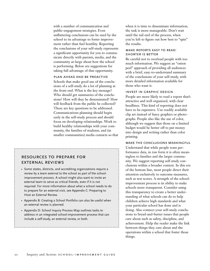with a number of communication and public-engagement strategies. Even unflattering conclusions can be used by the school to its advantage to foster improvement rather than fuel hostility. Reporting the conclusions of your self-study represents a significant opportunity for you to communicate directly with parents, media, and the community at-large about how the school is performing. Below are suggestions for taking full advantage of that opportunity.

### plan ahead and be proactive

Schools that make good use of the conclusions of a self-study do a lot of planning at the front end. What is the key message? Who should get summaries of the conclusions? How will they be disseminated? How will feedback from the public be collected? These are key questions to be addressed. Communications planning should begin early in the self-study process and should focus on developing relationships. Work to build healthy relationships with your community, the families of students, and (in smaller communities) media contacts so that

# resources to prepare for external reviews

- Some states, districts, and accrediting organizations require a review by a team external to the school as part of the schoolimprovement process. A school might also want to invite an external team to serve as critical friends, even if it is not required. For more information about what a school needs to do to prepare for an external visit, see Appendix C: Preparing to Host an External Review.
- Appendix B: Creating a School Portfolio can also be useful when an external review is planned.
- Appendix D: School Inquiry Process Map outlines tasks to address in an integrated school-improvement process that can include a self-study, an external review, or both.

when it is time to disseminate information, the task is more manageable. Don't wait until the tail end of the process, when you're left to figure out how best to "spin" the results.

### make reports easy to read: shorter is better

Be careful not to overload people with too much information. We suggest an "onion peel" approach of providing all audiences with a brief, easy-to-understand summary of the conclusions of your self-study, with more detailed information available for those who want it.

### invest in graphic design

People are more likely to read a report that's attractive and well organized, with clear headlines. This kind of reporting does not have to be expensive. Use readily available clip art instead of fancy graphics or photographs. People also like the use of color, although we suggest that those on a limited budget would be better off to put money into design and writing rather than color printing.

### make the conclusions meaningful

Understand that while people want performance data, in raw form it is often meaningless to families and the larger community. We suggest reporting self-study conclusions within a broader context. In this era of the bottom line, most people direct their attention exclusively to outcome measures, such as test scores. A strength of the schoolimprovement process is its ability to make schools more transparent. Consider using this transparency to create a better understanding of what schools can do to help children achieve high standards and what your particular school has done and is doing. Also connect your self-study conclusions to bread-and-butter issues that people care about such as safety, discipline, and achievement. Help the reader make the link between things they care about and the operations within a school that foster those things.